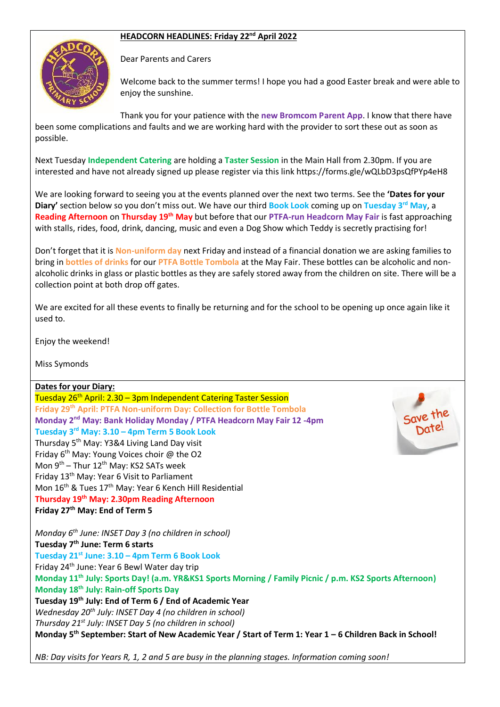## **HEADCORN HEADLINES: Friday 22nd April 2022**



Dear Parents and Carers

Welcome back to the summer terms! I hope you had a good Easter break and were able to enjoy the sunshine.

Thank you for your patience with the **new Bromcom Parent App**. I know that there have been some complications and faults and we are working hard with the provider to sort these out as soon as possible.

Next Tuesday **Independent Catering** are holding a **Taster Session** in the Main Hall from 2.30pm. If you are interested and have not already signed up please register via this link https://forms.gle/wQLbD3psQfPYp4eH8

We are looking forward to seeing you at the events planned over the next two terms. See the **'Dates for your Diary'** section below so you don't miss out. We have our third **Book Look** coming up on **Tuesday 3rd May**, a **Reading Afternoon** on **Thursday 19th May** but before that our **PTFA-run Headcorn May Fair** is fast approaching with stalls, rides, food, drink, dancing, music and even a Dog Show which Teddy is secretly practising for!

Don't forget that it is **Non-uniform day** next Friday and instead of a financial donation we are asking families to bring in **bottles of drinks** for our **PTFA Bottle Tombola** at the May Fair. These bottles can be alcoholic and nonalcoholic drinks in glass or plastic bottles as they are safely stored away from the children on site. There will be a collection point at both drop off gates.

We are excited for all these events to finally be returning and for the school to be opening up once again like it used to.

Enjoy the weekend!

Miss Symonds

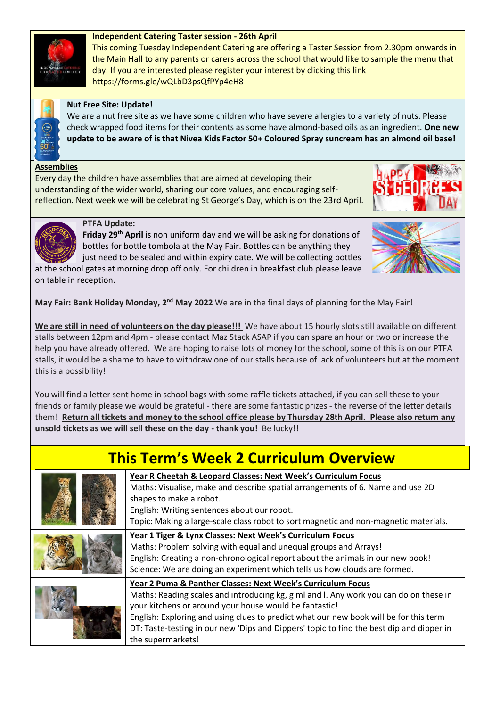# **Independent Catering Taster session - 26th April**

This coming Tuesday Independent Catering are offering a Taster Session from 2.30pm onwards in the Main Hall to any parents or carers across the school that would like to sample the menu that day. If you are interested please register your interest by clicking this link https://forms.gle/wQLbD3psQfPYp4eH8



## **Nut Free Site: Update!**

We are a nut free site as we have some children who have severe allergies to a variety of nuts. Please check wrapped food items for their contents as some have almond-based oils as an ingredient. **One new update to be aware of is that Nivea Kids Factor 50+ Coloured Spray suncream has an almond oil base!**

### **Assemblies**

Every day the children have assemblies that are aimed at developing their understanding of the wider world, sharing our core values, and encouraging selfreflection. Next week we will be celebrating St George's Day, which is on the 23rd April.





#### **PTFA Update:**

**Friday 29th April** is non uniform day and we will be asking for donations of bottles for bottle tombola at the May Fair. Bottles can be anything they

just need to be sealed and within expiry date. We will be collecting bottles at the school gates at morning drop off only. For children in breakfast club please leave on table in reception.



**May Fair: Bank Holiday Monday, 2nd May 2022** We are in the final days of planning for the May Fair!

**We are still in need of volunteers on the day please!!!** We have about 15 hourly slots still available on different stalls between 12pm and 4pm - please contact Maz Stack ASAP if you can spare an hour or two or increase the help you have already offered. We are hoping to raise lots of money for the school, some of this is on our PTFA stalls, it would be a shame to have to withdraw one of our stalls because of lack of volunteers but at the moment this is a possibility!

You will find a letter sent home in school bags with some raffle tickets attached, if you can sell these to your friends or family please we would be grateful - there are some fantastic prizes - the reverse of the letter details them! **Return all tickets and money to the school office please by Thursday 28th April. Please also return any unsold tickets as we will sell these on the day - thank you!** Be lucky!!

| <b>This Term's Week 2 Curriculum Overview</b> |                                                                                                                                                                                                                                                                                                                                                                                                                          |
|-----------------------------------------------|--------------------------------------------------------------------------------------------------------------------------------------------------------------------------------------------------------------------------------------------------------------------------------------------------------------------------------------------------------------------------------------------------------------------------|
|                                               | Year R Cheetah & Leopard Classes: Next Week's Curriculum Focus<br>Maths: Visualise, make and describe spatial arrangements of 6. Name and use 2D<br>shapes to make a robot.<br>English: Writing sentences about our robot.<br>Topic: Making a large-scale class robot to sort magnetic and non-magnetic materials.                                                                                                       |
|                                               | Year 1 Tiger & Lynx Classes: Next Week's Curriculum Focus<br>Maths: Problem solving with equal and unequal groups and Arrays!<br>English: Creating a non-chronological report about the animals in our new book!<br>Science: We are doing an experiment which tells us how clouds are formed.                                                                                                                            |
|                                               | Year 2 Puma & Panther Classes: Next Week's Curriculum Focus<br>Maths: Reading scales and introducing kg, g ml and l. Any work you can do on these in<br>your kitchens or around your house would be fantastic!<br>English: Exploring and using clues to predict what our new book will be for this term<br>DT: Taste-testing in our new 'Dips and Dippers' topic to find the best dip and dipper in<br>the supermarkets! |